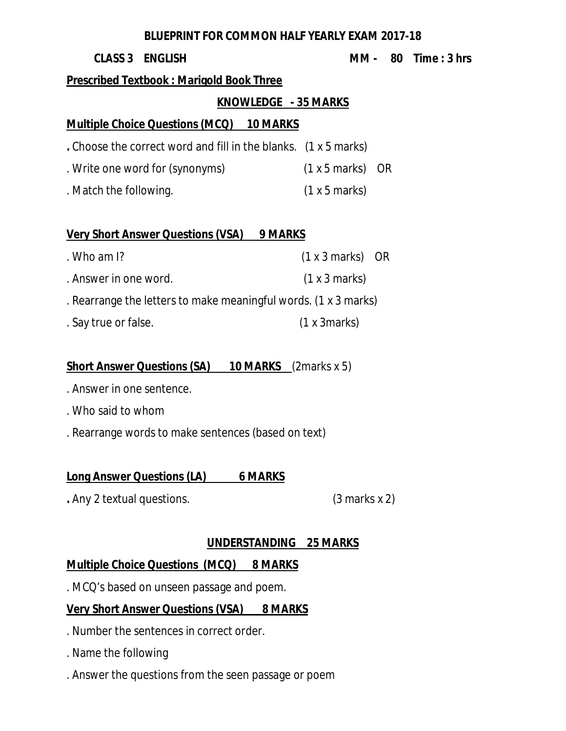#### **BLUEPRINT FOR COMMON HALF YEARLY EXAM 2017-18**

#### **Prescribed Textbook : Marigold Book Three**

#### **KNOWLEDGE - 35 MARKS**

# **Multiple Choice Questions (MCQ) 10 MARKS**

- **.** Choose the correct word and fill in the blanks. (1 x 5 marks)
- . Write one word for (synonyms) (1 x 5 marks) OR
- . Match the following. (1 x 5 marks)

# **Very Short Answer Questions (VSA) 9 MARKS**

. Who am I? (1 x 3 marks) OR . Answer in one word. (1 x 3 marks) . Rearrange the letters to make meaningful words. (1 x 3 marks) . Say true or false. (1 x 3marks)

# **Short Answer Questions (SA) 10 MARKS** (2marks x 5)

- . Answer in one sentence.
- . Who said to whom
- . Rearrange words to make sentences (based on text)

# **Long Answer Questions (LA) 6 MARKS**

**.** Any 2 textual questions. (3 marks x 2)

# **UNDERSTANDING 25 MARKS**

# **Multiple Choice Questions (MCQ) 8 MARKS**

. MCQ's based on unseen passage and poem.

# **Very Short Answer Questions (VSA) 8 MARKS**

- . Number the sentences in correct order.
- . Name the following
- . Answer the questions from the seen passage or poem

#### **CLASS 3 ENGLISH MM - 80 Time : 3 hrs**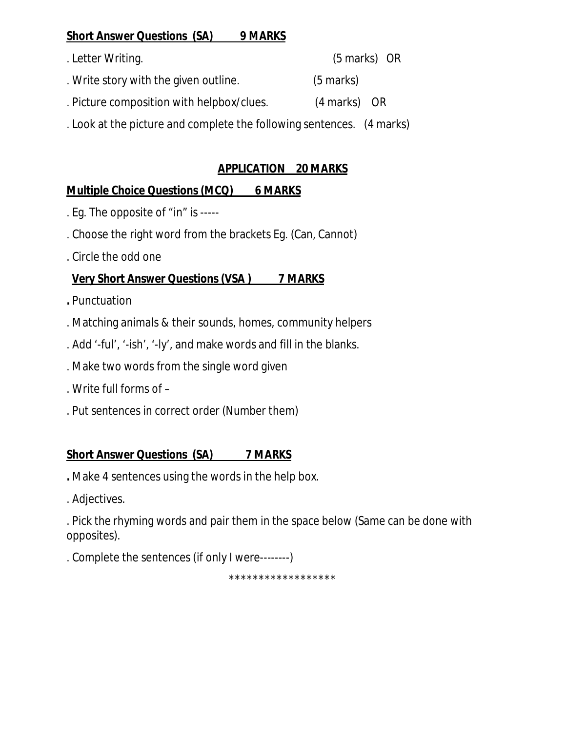#### **Short Answer Questions (SA) 9 MARKS**

. Letter Writing. (5 marks) OR . Write story with the given outline. (5 marks) . Picture composition with helpbox/clues. (4 marks) OR . Look at the picture and complete the following sentences. (4 marks)

#### **APPLICATION 20 MARKS**

#### **Multiple Choice Questions (MCQ) 6 MARKS**

- . Eg. The opposite of "in" is -----
- . Choose the right word from the brackets Eg. (Can, Cannot)
- . Circle the odd one

#### **Very Short Answer Questions (VSA ) 7 MARKS**

- **.** Punctuation
- . Matching animals & their sounds, homes, community helpers
- . Add '-ful', '-ish', '-ly', and make words and fill in the blanks.
- . Make two words from the single word given
- . Write full forms of –
- . Put sentences in correct order (Number them)

#### **Short Answer Questions (SA) 7 MARKS**

- **.** Make 4 sentences using the words in the help box.
- . Adjectives.

. Pick the rhyming words and pair them in the space below (Same can be done with opposites).

. Complete the sentences (if only I were--------)

\*\*\*\*\*\*\*\*\*\*\*\*\*\*\*\*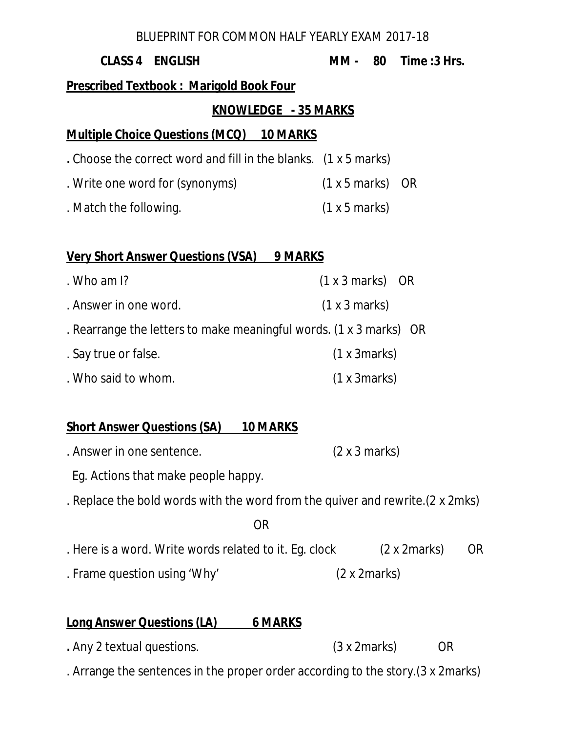#### BLUEPRINT FOR COMMON HALF YEARLY EXAM 2017-18

# **CLASS 4 ENGLISH MM - 80 Time :3 Hrs. Prescribed Textbook : Marigold Book Four KNOWLEDGE - 35 MARKS Multiple Choice Questions (MCQ) 10 MARKS .** Choose the correct word and fill in the blanks. (1 x 5 marks) . Write one word for (synonyms) (1 x 5 marks) OR . Match the following. (1 x 5 marks)

#### **Very Short Answer Questions (VSA) 9 MARKS**

| . Who am $\mathsf{I}$ ?                                            | $(1 x 3 marks)$ OR |
|--------------------------------------------------------------------|--------------------|
| . Answer in one word.                                              | (1 x 3 marks)      |
| . Rearrange the letters to make meaningful words. (1 x 3 marks) OR |                    |
| . Say true or false.                                               | (1 x 3 marks)      |
| . Who said to whom.                                                | (1 x 3 marks)      |

#### **Short Answer Questions (SA) 10 MARKS**

- . Answer in one sentence. (2 x 3 marks)
- Eg. Actions that make people happy.
- . Replace the bold words with the word from the quiver and rewrite.(2 x 2mks)

#### **OR** Service Service Service Service Service Service Service Service Service Service Service Service Service Service Service Service Service Service Service Service Service Service Service Service Service Service Service S

- . Here is a word. Write words related to it. Eg. clock (2 x 2marks) OR
- . Frame question using 'Why' (2 x 2marks)

# **Long Answer Questions (LA) 6 MARKS**

- **.** Any 2 textual questions. (3 x 2marks) OR
- . Arrange the sentences in the proper order according to the story.(3 x 2marks)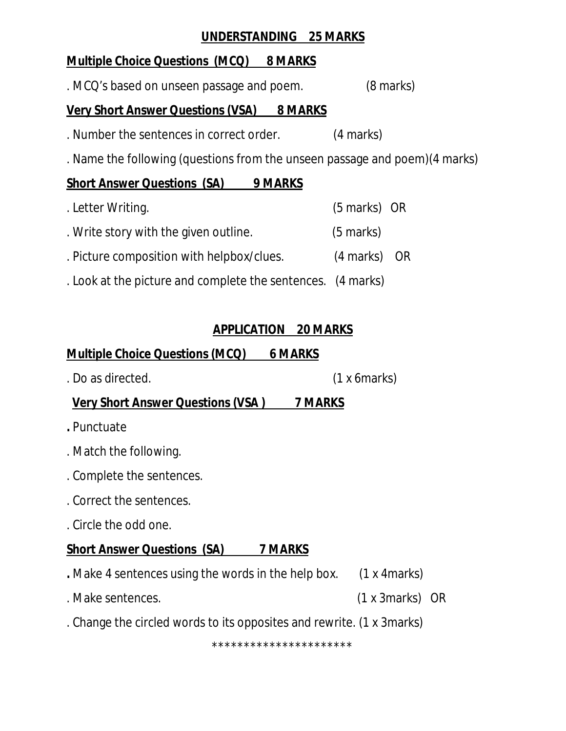#### **UNDERSTANDING 25 MARKS**

#### **Multiple Choice Questions (MCQ) 8 MARKS**

. MCQ's based on unseen passage and poem. (8 marks)

#### **Very Short Answer Questions (VSA) 8 MARKS**

- . Number the sentences in correct order. (4 marks)
- . Name the following (questions from the unseen passage and poem)(4 marks)

# **Short Answer Questions (SA) 9 MARKS**

- . Letter Writing. (5 marks) OR . Write story with the given outline. (5 marks) . Picture composition with helpbox/clues. (4 marks) OR
- . Look at the picture and complete the sentences. (4 marks)

# **APPLICATION 20 MARKS**

# **Multiple Choice Questions (MCQ) 6 MARKS**

. Do as directed. (1 x 6marks)

# **Very Short Answer Questions (VSA ) 7 MARKS**

- **.** Punctuate
- . Match the following.
- . Complete the sentences.
- . Correct the sentences.
- . Circle the odd one.

# **Short Answer Questions (SA) 7 MARKS**

- **.** Make 4 sentences using the words in the help box. (1 x 4marks)
- . Make sentences. (1 x 3marks) OR
- . Change the circled words to its opposites and rewrite. (1 x 3marks)

\*\*\*\*\*\*\*\*\*\*\*\*\*\*\*\*\*\*\*\*\*\*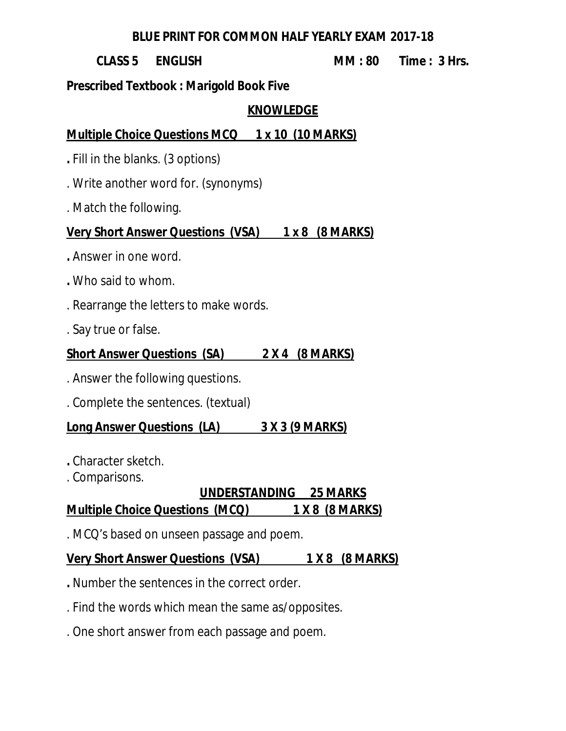#### **BLUE PRINT FOR COMMON HALF YEARLY EXAM 2017-18**

#### **CLASS 5 ENGLISH MM : 80 Time : 3 Hrs.**

# **Prescribed Textbook : Marigold Book Five**

#### **KNOWLEDGE**

# **Multiple Choice Questions MCQ 1 x 10 (10 MARKS)**

- **.** Fill in the blanks. (3 options)
- . Write another word for. (synonyms)
- . Match the following.

# **Very Short Answer Questions (VSA) 1 x 8 (8 MARKS)**

- **.** Answer in one word.
- **.** Who said to whom.
- . Rearrange the letters to make words.
- . Say true or false.

# **Short Answer Questions (SA) 2 X 4 (8 MARKS)**

- . Answer the following questions.
- . Complete the sentences. (textual)

# **Long Answer Questions (LA) 3 X 3 (9 MARKS)**

- **.** Character sketch.
- . Comparisons.

# **UNDERSTANDING 25 MARKS**

# **Multiple Choice Questions (MCQ) 1 X 8 (8 MARKS)**

. MCQ's based on unseen passage and poem.

# **Very Short Answer Questions (VSA) 1 X 8 (8 MARKS)**

- **.** Number the sentences in the correct order.
- . Find the words which mean the same as/opposites.
- . One short answer from each passage and poem.